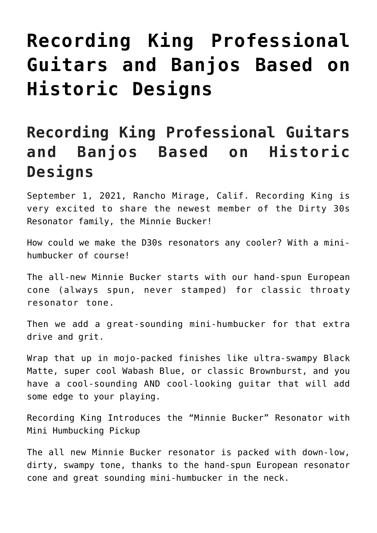## **[Recording King Professional](https://thebluegrassstandard.com/recording-king-professional-guitars-and-banjos-based-on-historic-designs/) [Guitars and Banjos Based on](https://thebluegrassstandard.com/recording-king-professional-guitars-and-banjos-based-on-historic-designs/) [Historic Designs](https://thebluegrassstandard.com/recording-king-professional-guitars-and-banjos-based-on-historic-designs/)**

## **Recording King Professional Guitars and Banjos Based on Historic Designs**

September 1, 2021, Rancho Mirage, Calif. Recording King is very excited to share the newest member of the Dirty 30s Resonator family, the Minnie Bucker!

How could we make the D30s resonators any cooler? With a minihumbucker of course!

The all-new Minnie Bucker starts with our hand-spun European cone (always spun, never stamped) for classic throaty resonator tone.

Then we add a great-sounding mini-humbucker for that extra drive and grit.

Wrap that up in mojo-packed finishes like ultra-swampy Black Matte, super cool Wabash Blue, or classic Brownburst, and you have a cool-sounding AND cool-looking guitar that will add some edge to your playing.

Recording King Introduces the "Minnie Bucker" Resonator with Mini Humbucking Pickup

The all new Minnie Bucker resonator is packed with down-low, dirty, swampy tone, thanks to the hand-spun European resonator cone and great sounding mini-humbucker in the neck.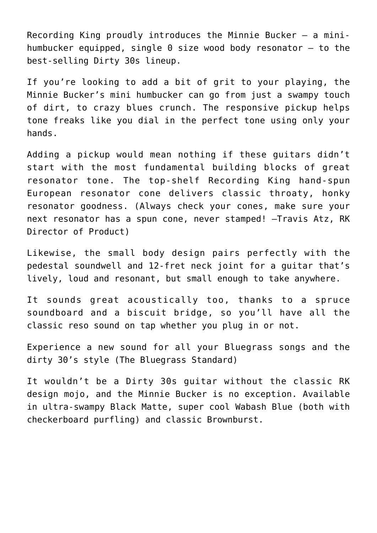Recording King proudly introduces the Minnie Bucker — a minihumbucker equipped, single  $\theta$  size wood body resonator  $-$  to the best-selling Dirty 30s lineup.

If you're looking to add a bit of grit to your playing, the Minnie Bucker's mini humbucker can go from just a swampy touch of dirt, to crazy blues crunch. The responsive pickup helps tone freaks like you dial in the perfect tone using only your hands.

Adding a pickup would mean nothing if these guitars didn't start with the most fundamental building blocks of great resonator tone. The top-shelf Recording King hand-spun European resonator cone delivers classic throaty, honky resonator goodness. (Always check your cones, make sure your next resonator has a spun cone, never stamped! –Travis Atz, RK Director of Product)

Likewise, the small body design pairs perfectly with the pedestal soundwell and 12-fret neck joint for a guitar that's lively, loud and resonant, but small enough to take anywhere.

It sounds great acoustically too, thanks to a spruce soundboard and a biscuit bridge, so you'll have all the classic reso sound on tap whether you plug in or not.

Experience a new sound for all your Bluegrass songs and the dirty 30's style (The Bluegrass Standard)

It wouldn't be a Dirty 30s guitar without the classic RK design mojo, and the Minnie Bucker is no exception. Available in ultra-swampy Black Matte, super cool Wabash Blue (both with checkerboard purfling) and classic Brownburst.